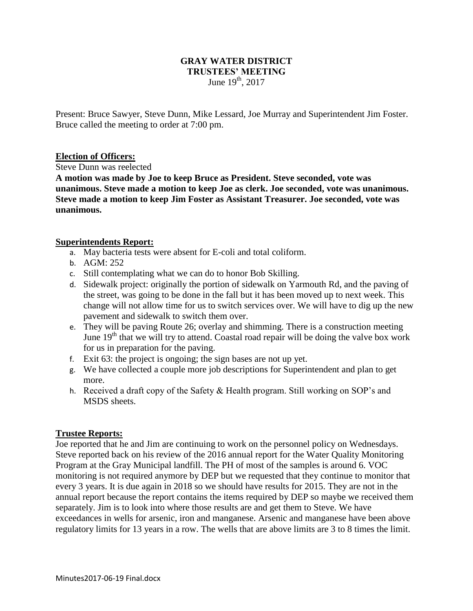## **GRAY WATER DISTRICT TRUSTEES' MEETING** June  $19^{th}$ , 2017

Present: Bruce Sawyer, Steve Dunn, Mike Lessard, Joe Murray and Superintendent Jim Foster. Bruce called the meeting to order at 7:00 pm.

## **Election of Officers:**

Steve Dunn was reelected

**A motion was made by Joe to keep Bruce as President. Steve seconded, vote was unanimous. Steve made a motion to keep Joe as clerk. Joe seconded, vote was unanimous. Steve made a motion to keep Jim Foster as Assistant Treasurer. Joe seconded, vote was unanimous.** 

## **Superintendents Report:**

- a. May bacteria tests were absent for E-coli and total coliform.
- b. AGM: 252
- c. Still contemplating what we can do to honor Bob Skilling.
- d. Sidewalk project: originally the portion of sidewalk on Yarmouth Rd, and the paving of the street, was going to be done in the fall but it has been moved up to next week. This change will not allow time for us to switch services over. We will have to dig up the new pavement and sidewalk to switch them over.
- e. They will be paving Route 26; overlay and shimming. There is a construction meeting June  $19<sup>th</sup>$  that we will try to attend. Coastal road repair will be doing the valve box work for us in preparation for the paving.
- f. Exit 63: the project is ongoing; the sign bases are not up yet.
- g. We have collected a couple more job descriptions for Superintendent and plan to get more.
- h. Received a draft copy of the Safety & Health program. Still working on SOP's and MSDS sheets.

## **Trustee Reports:**

Joe reported that he and Jim are continuing to work on the personnel policy on Wednesdays. Steve reported back on his review of the 2016 annual report for the Water Quality Monitoring Program at the Gray Municipal landfill. The PH of most of the samples is around 6. VOC monitoring is not required anymore by DEP but we requested that they continue to monitor that every 3 years. It is due again in 2018 so we should have results for 2015. They are not in the annual report because the report contains the items required by DEP so maybe we received them separately. Jim is to look into where those results are and get them to Steve. We have exceedances in wells for arsenic, iron and manganese. Arsenic and manganese have been above regulatory limits for 13 years in a row. The wells that are above limits are 3 to 8 times the limit.